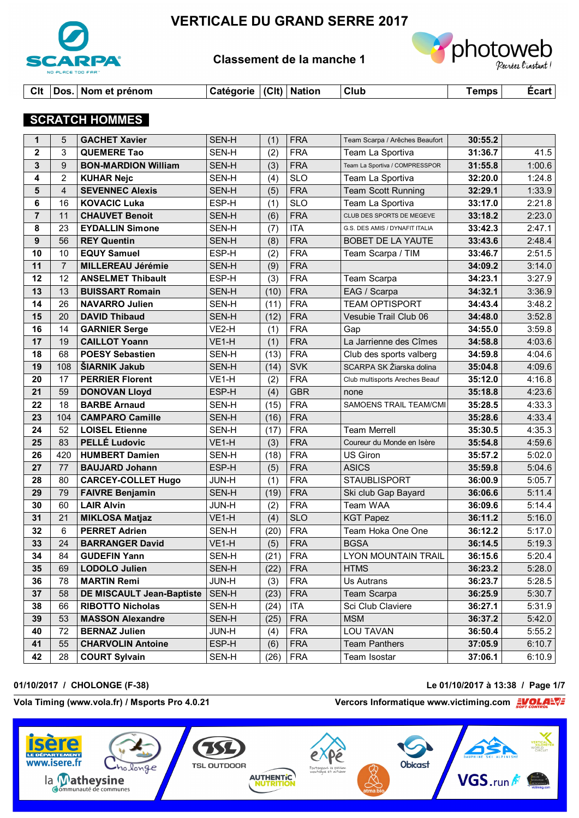

# **VERTICALE DU GRAND SERRE 2017**

# **Classement de la manche 1**



# **SCRATCH HOMMES**

| $\mathbf 1$    | 5              | <b>GACHET Xavier</b>       | SEN-H        | (1)  | <b>FRA</b> | Team Scarpa / Arêches Beaufort | 30:55.2 |        |
|----------------|----------------|----------------------------|--------------|------|------------|--------------------------------|---------|--------|
| $\mathbf{2}$   | 3              | <b>QUEMERE Tao</b>         | SEN-H        | (2)  | <b>FRA</b> | Team La Sportiva               | 31:36.7 | 41.5   |
| 3              | 9              | <b>BON-MARDION William</b> | SEN-H        | (3)  | <b>FRA</b> | Team La Sportiva / COMPRESSPOR | 31:55.8 | 1:00.6 |
| 4              | $\overline{2}$ | <b>KUHAR Nejc</b>          | SEN-H        | (4)  | <b>SLO</b> | Team La Sportiva               | 32:20.0 | 1:24.8 |
| 5              | $\overline{4}$ | <b>SEVENNEC Alexis</b>     | SEN-H        | (5)  | <b>FRA</b> | <b>Team Scott Running</b>      | 32:29.1 | 1:33.9 |
| 6              | 16             | <b>KOVACIC Luka</b>        | ESP-H        | (1)  | <b>SLO</b> | Team La Sportiva               | 33:17.0 | 2:21.8 |
| $\overline{7}$ | 11             | <b>CHAUVET Benoit</b>      | SEN-H        | (6)  | <b>FRA</b> | CLUB DES SPORTS DE MEGEVE      | 33:18.2 | 2:23.0 |
| 8              | 23             | <b>EYDALLIN Simone</b>     | SEN-H        | (7)  | <b>ITA</b> | G.S. DES AMIS / DYNAFIT ITALIA | 33:42.3 | 2:47.1 |
| 9              | 56             | <b>REY Quentin</b>         | SEN-H        | (8)  | <b>FRA</b> | BOBET DE LA YAUTE              | 33:43.6 | 2:48.4 |
| 10             | 10             | <b>EQUY Samuel</b>         | ESP-H        | (2)  | <b>FRA</b> | Team Scarpa / TIM              | 33:46.7 | 2:51.5 |
| 11             | $\overline{7}$ | <b>MILLEREAU Jérémie</b>   | SEN-H        | (9)  | <b>FRA</b> |                                | 34:09.2 | 3:14.0 |
| 12             | 12             | <b>ANSELMET Thibault</b>   | ESP-H        | (3)  | <b>FRA</b> | Team Scarpa                    | 34:23.1 | 3:27.9 |
| 13             | 13             | <b>BUISSART Romain</b>     | SEN-H        | (10) | <b>FRA</b> | EAG / Scarpa                   | 34:32.1 | 3:36.9 |
| 14             | 26             | <b>NAVARRO Julien</b>      | SEN-H        | (11) | <b>FRA</b> | <b>TEAM OPTISPORT</b>          | 34:43.4 | 3:48.2 |
| 15             | 20             | <b>DAVID Thibaud</b>       | SEN-H        | (12) | <b>FRA</b> | Vesubie Trail Club 06          | 34:48.0 | 3:52.8 |
| 16             | 14             | <b>GARNIER Serge</b>       | VE2-H        | (1)  | <b>FRA</b> | Gap                            | 34:55.0 | 3:59.8 |
| 17             | 19             | <b>CAILLOT Yoann</b>       | VE1-H        | (1)  | <b>FRA</b> | La Jarrienne des Cîmes         | 34:58.8 | 4:03.6 |
| 18             | 68             | <b>POESY Sebastien</b>     | SEN-H        | (13) | <b>FRA</b> | Club des sports valberg        | 34:59.8 | 4:04.6 |
| 19             | 108            | <b>SIARNIK Jakub</b>       | SEN-H        | (14) | <b>SVK</b> | SCARPA SK Žiarska dolina       | 35:04.8 | 4:09.6 |
| 20             | 17             | <b>PERRIER Florent</b>     | VE1-H        | (2)  | <b>FRA</b> | Club multisports Areches Beauf | 35:12.0 | 4:16.8 |
| 21             | 59             | <b>DONOVAN Lloyd</b>       | ESP-H        | (4)  | <b>GBR</b> | none                           | 35:18.8 | 4:23.6 |
| 22             | 18             | <b>BARBE Arnaud</b>        | SEN-H        | (15) | <b>FRA</b> | <b>SAMOENS TRAIL TEAM/CMI</b>  | 35:28.5 | 4:33.3 |
| 23             | 104            | <b>CAMPARO Camille</b>     | SEN-H        | (16) | <b>FRA</b> |                                | 35:28.6 | 4:33.4 |
| 24             | 52             | <b>LOISEL Etienne</b>      | SEN-H        | (17) | <b>FRA</b> | <b>Team Merrell</b>            | 35:30.5 | 4:35.3 |
| 25             | 83             | <b>PELLÉ Ludovic</b>       | VE1-H        | (3)  | <b>FRA</b> | Coureur du Monde en Isère      | 35:54.8 | 4:59.6 |
| 26             | 420            | <b>HUMBERT Damien</b>      | SEN-H        | (18) | <b>FRA</b> | US Giron                       | 35:57.2 | 5:02.0 |
| 27             | 77             | <b>BAUJARD Johann</b>      | ESP-H        | (5)  | <b>FRA</b> | <b>ASICS</b>                   | 35:59.8 | 5:04.6 |
| 28             | 80             | <b>CARCEY-COLLET Hugo</b>  | <b>JUN-H</b> | (1)  | <b>FRA</b> | <b>STAUBLISPORT</b>            | 36:00.9 | 5:05.7 |
| 29             | 79             | <b>FAIVRE Benjamin</b>     | SEN-H        | (19) | <b>FRA</b> | Ski club Gap Bayard            | 36:06.6 | 5:11.4 |
| 30             | 60             | <b>LAIR Alvin</b>          | JUN-H        | (2)  | <b>FRA</b> | Team WAA                       | 36:09.6 | 5:14.4 |
| 31             | 21             | <b>MIKLOSA Matjaz</b>      | VE1-H        | (4)  | <b>SLO</b> | <b>KGT Papez</b>               | 36:11.2 | 5:16.0 |
| 32             | 6              | <b>PERRET Adrien</b>       | SEN-H        | (20) | <b>FRA</b> | Team Hoka One One              | 36:12.2 | 5:17.0 |
| 33             | 24             | <b>BARRANGER David</b>     | VE1-H        | (5)  | <b>FRA</b> | <b>BGSA</b>                    | 36:14.5 | 5:19.3 |
| 34             | 84             | <b>GUDEFIN Yann</b>        | SEN-H        | (21) | <b>FRA</b> | <b>LYON MOUNTAIN TRAIL</b>     | 36:15.6 | 5:20.4 |
| 35             | 69             | LODOLO Julien              | SEN-H        | (22) | <b>FRA</b> | <b>HTMS</b>                    | 36:23.2 | 5:28.0 |
| 36             | 78             | <b>MARTIN Remi</b>         | <b>JUN-H</b> | (3)  | <b>FRA</b> | Us Autrans                     | 36:23.7 | 5:28.5 |
| 37             | 58             | DE MISCAULT Jean-Baptiste  | SEN-H        | (23) | <b>FRA</b> | Team Scarpa                    | 36:25.9 | 5:30.7 |
| 38             | 66             | <b>RIBOTTO Nicholas</b>    | SEN-H        | (24) | <b>ITA</b> | Sci Club Claviere              | 36:27.1 | 5:31.9 |
| 39             | 53             | <b>MASSON Alexandre</b>    | SEN-H        | (25) | <b>FRA</b> | <b>MSM</b>                     | 36:37.2 | 5:42.0 |
| 40             | 72             | <b>BERNAZ Julien</b>       | <b>JUN-H</b> | (4)  | <b>FRA</b> | LOU TAVAN                      | 36:50.4 | 5:55.2 |
| 41             | 55             | <b>CHARVOLIN Antoine</b>   | ESP-H        | (6)  | <b>FRA</b> | <b>Team Panthers</b>           | 37:05.9 | 6:10.7 |
| 42             | 28             | <b>COURT Sylvain</b>       | SEN-H        | (26) | <b>FRA</b> | Team Isostar                   | 37:06.1 | 6:10.9 |

### **01/10/2017 / CHOLONGE (F-38) Le 01/10/2017 à 13:38 / Page 1/7**

www.isere.fr

# Vola Timing (www.vola.fr) / Msports Pro 4.0.21 *Vercors Informatique www.victiming.com*

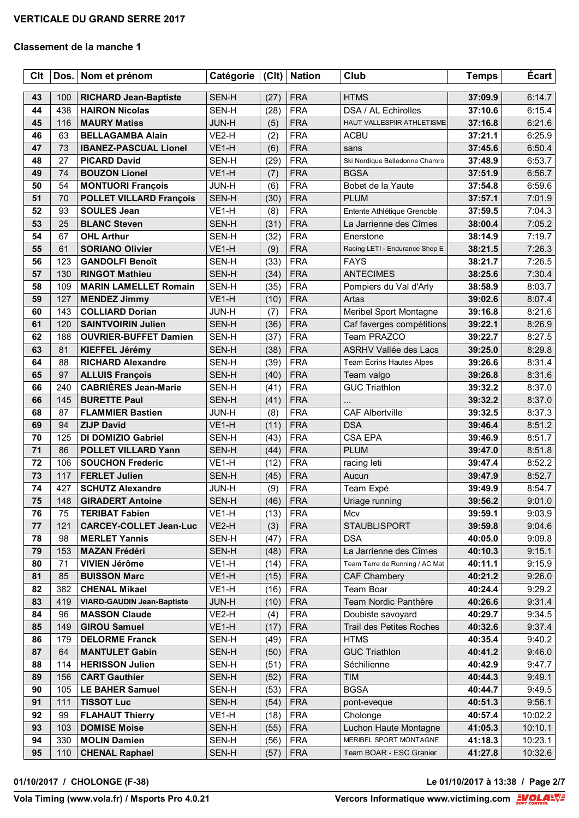| Clt      | Dos.       | Nom et prénom                                           | Catégorie             | C            | <b>Nation</b>            | Club                                              | <b>Temps</b>       | <b>Écart</b>     |
|----------|------------|---------------------------------------------------------|-----------------------|--------------|--------------------------|---------------------------------------------------|--------------------|------------------|
|          |            |                                                         |                       |              |                          |                                                   |                    |                  |
| 43       | 100        | <b>RICHARD Jean-Baptiste</b>                            | SEN-H                 | (27)         | <b>FRA</b><br><b>FRA</b> | <b>HTMS</b>                                       | 37:09.9            | 6:14.7           |
| 44       | 438        | <b>HAIRON Nicolas</b>                                   | SEN-H                 | (28)         | <b>FRA</b>               | DSA / AL Echirolles<br>HAUT VALLESPIIR ATHLETISME | 37:10.6            | 6:15.4           |
| 45       | 116        | <b>MAURY Matiss</b>                                     | <b>JUN-H</b>          | (5)          |                          |                                                   | 37:16.8            | 6:21.6           |
| 46<br>47 | 63<br>73   | <b>BELLAGAMBA Alain</b><br><b>IBANEZ-PASCUAL Lionel</b> | VE2-H<br>VE1-H        | (2)          | <b>FRA</b><br><b>FRA</b> | <b>ACBU</b>                                       | 37:21.1            | 6:25.9<br>6:50.4 |
|          |            |                                                         |                       | (6)          |                          | sans                                              | 37:45.6            |                  |
| 48       | 27         | <b>PICARD David</b>                                     | SEN-H                 | (29)         | <b>FRA</b>               | Ski Nordique Belledonne Chamro                    | 37:48.9            | 6:53.7           |
| 49<br>50 | 74<br>54   | <b>BOUZON Lionel</b>                                    | VE1-H<br>JUN-H        | (7)          | <b>FRA</b><br><b>FRA</b> | <b>BGSA</b><br>Bobet de la Yaute                  | 37:51.9            | 6:56.7<br>6:59.6 |
|          | 70         | <b>MONTUORI François</b>                                | SEN-H                 | (6)          | <b>FRA</b>               | <b>PLUM</b>                                       | 37:54.8<br>37:57.1 | 7:01.9           |
| 51<br>52 | 93         | <b>POLLET VILLARD François</b><br><b>SOULES Jean</b>    | VE1-H                 | (30)<br>(8)  | <b>FRA</b>               | Entente Athlétique Grenoble                       | 37:59.5            | 7:04.3           |
| 53       | 25         | <b>BLANC Steven</b>                                     | SEN-H                 | (31)         | <b>FRA</b>               | La Jarrienne des Cîmes                            |                    | 7:05.2           |
| 54       | 67         | <b>OHL Arthur</b>                                       |                       |              | <b>FRA</b>               | Enerstone                                         | 38:00.4<br>38:14.9 | 7:19.7           |
| 55       | 61         | <b>SORIANO Olivier</b>                                  | SEN-H<br>VE1-H        | (32)<br>(9)  | <b>FRA</b>               | Racing LETI - Endurance Shop E                    | 38:21.5            | 7:26.3           |
| 56       | 123        | <b>GANDOLFI Benoît</b>                                  |                       | (33)         | <b>FRA</b>               | <b>FAYS</b>                                       |                    | 7:26.5           |
| 57       | 130        | <b>RINGOT Mathieu</b>                                   | SEN-H<br>SEN-H        | (34)         | <b>FRA</b>               | <b>ANTECIMES</b>                                  | 38:21.7<br>38:25.6 | 7:30.4           |
| 58       | 109        | <b>MARIN LAMELLET Romain</b>                            | SEN-H                 | (35)         | <b>FRA</b>               | Pompiers du Val d'Arly                            | 38:58.9            | 8:03.7           |
| 59       | 127        | <b>MENDEZ Jimmy</b>                                     | VE <sub>1-H</sub>     | (10)         | <b>FRA</b>               | Artas                                             | 39:02.6            | 8:07.4           |
| 60       | 143        | <b>COLLIARD Dorian</b>                                  |                       |              | <b>FRA</b>               |                                                   |                    | 8:21.6           |
| 61       | 120        | <b>SAINTVOIRIN Julien</b>                               | <b>JUN-H</b>          | (7)          | <b>FRA</b>               | Meribel Sport Montagne                            | 39:16.8            | 8:26.9           |
| 62       | 188        |                                                         | SEN-H                 | (36)         | <b>FRA</b>               | Caf faverges compétitions<br>Team PRAZCO          | 39:22.1<br>39:22.7 |                  |
| 63       | 81         | <b>OUVRIER-BUFFET Damien</b>                            | SEN-H                 | (37)         | <b>FRA</b>               |                                                   |                    | 8:27.5<br>8:29.8 |
| 64       | 88         | KIEFFEL Jérémy<br><b>RICHARD Alexandre</b>              | SEN-H<br>SEN-H        | (38)         | <b>FRA</b>               | ASRHV Vallée des Lacs                             | 39:25.0<br>39:26.6 | 8:31.4           |
| 65       | 97         |                                                         | SEN-H                 | (39)<br>(40) | <b>FRA</b>               | Team Ecrins Hautes Alpes                          |                    | 8:31.6           |
|          |            | <b>ALLUIS François</b>                                  |                       |              |                          | Team valgo                                        | 39:26.8            |                  |
| 66<br>66 | 240<br>145 | <b>CABRIÈRES Jean-Marie</b><br><b>BURETTE Paul</b>      | SEN-H                 | (41)         | <b>FRA</b><br><b>FRA</b> | <b>GUC Triathlon</b>                              | 39:32.2            | 8:37.0<br>8:37.0 |
| 68       |            |                                                         | SEN-H<br><b>JUN-H</b> | (41)         | <b>FRA</b>               | <b>CAF Albertville</b>                            | 39:32.2            |                  |
| 69       | 87<br>94   | <b>FLAMMIER Bastien</b><br><b>ZIJP David</b>            | VE1-H                 | (8)<br>(11)  | <b>FRA</b>               | <b>DSA</b>                                        | 39:32.5<br>39:46.4 | 8:37.3<br>8:51.2 |
| 70       | 125        | DI DOMIZIO Gabriel                                      | SEN-H                 | (43)         | <b>FRA</b>               | <b>CSA EPA</b>                                    | 39:46.9            | 8:51.7           |
| 71       | 86         | <b>POLLET VILLARD Yann</b>                              | SEN-H                 | (44)         | <b>FRA</b>               | <b>PLUM</b>                                       | 39:47.0            | 8:51.8           |
| 72       | 106        | <b>SOUCHON Frederic</b>                                 | VE1-H                 | (12)         | <b>FRA</b>               | racing leti                                       | 39:47.4            | 8:52.2           |
| 73       | 117        | <b>FERLET Julien</b>                                    | SEN-H                 | (45)         | <b>FRA</b>               | Aucun                                             | 39:47.9            | 8:52.7           |
| 74       | 427        | <b>SCHUTZ Alexandre</b>                                 | <b>JUN-H</b>          | (9)          | <b>FRA</b>               | Team Expé                                         | 39:49.9            | 8:54.7           |
| 75       | 148        | <b>GIRADERT Antoine</b>                                 | SEN-H                 | (46)         | <b>FRA</b>               | Uriage running                                    | 39:56.2            | 9:01.0           |
| 76       | 75         | <b>TERIBAT Fabien</b>                                   | VE1-H                 | (13)         | <b>FRA</b>               | Mcv                                               | 39:59.1            | 9:03.9           |
| 77       | 121        | <b>CARCEY-COLLET Jean-Luc</b>                           | VE <sub>2</sub> -H    | (3)          | <b>FRA</b>               | <b>STAUBLISPORT</b>                               | 39:59.8            | 9:04.6           |
| 78       | 98         | <b>MERLET Yannis</b>                                    | SEN-H                 | (47)         | <b>FRA</b>               | <b>DSA</b>                                        | 40:05.0            | 9:09.8           |
| 79       | 153        | <b>MAZAN Frédéri</b>                                    | SEN-H                 | (48)         | <b>FRA</b>               | La Jarrienne des Cîmes                            | 40:10.3            | 9:15.1           |
| 80       | 71         | VIVIEN Jérôme                                           | VE1-H                 | (14)         | <b>FRA</b>               | Team Terre de Running / AC Mat                    | 40:11.1            | 9:15.9           |
| 81       | 85         | <b>BUISSON Marc</b>                                     | VE1-H                 | (15)         | <b>FRA</b>               | CAF Chambery                                      | 40:21.2            | 9:26.0           |
| 82       | 382        | <b>CHENAL Mikael</b>                                    | VE1-H                 | (16)         | <b>FRA</b>               | Team Boar                                         | 40:24.4            | 9:29.2           |
| 83       | 419        | <b>VIARD-GAUDIN Jean-Baptiste</b>                       | <b>JUN-H</b>          | (10)         | <b>FRA</b>               | Team Nordic Panthère                              | 40:26.6            | 9:31.4           |
| 84       | 96         | <b>MASSON Claude</b>                                    | VE2-H                 | (4)          | <b>FRA</b>               | Doubiste savoyard                                 | 40:29.7            | 9:34.5           |
| 85       | 149        | <b>GIROU Samuel</b>                                     | VE1-H                 | (17)         | <b>FRA</b>               | Trail des Petites Roches                          | 40:32.6            | 9:37.4           |
| 86       | 179        | <b>DELORME Franck</b>                                   | SEN-H                 | (49)         | <b>FRA</b>               | <b>HTMS</b>                                       | 40:35.4            | 9:40.2           |
| 87       | 64         | <b>MANTULET Gabin</b>                                   | SEN-H                 | (50)         | <b>FRA</b>               | <b>GUC Triathlon</b>                              | 40:41.2            | 9:46.0           |
| 88       | 114        | <b>HERISSON Julien</b>                                  | SEN-H                 | (51)         | <b>FRA</b>               | Séchilienne                                       | 40:42.9            | 9:47.7           |
| 89       | 156        | <b>CART Gauthier</b>                                    | SEN-H                 | (52)         | <b>FRA</b>               | <b>TIM</b>                                        | 40:44.3            | 9:49.1           |
| 90       | 105        | <b>LE BAHER Samuel</b>                                  | SEN-H                 | (53)         | <b>FRA</b>               | <b>BGSA</b>                                       | 40:44.7            | 9:49.5           |
| 91       | 111        | <b>TISSOT Luc</b>                                       | SEN-H                 | (54)         | <b>FRA</b>               | pont-eveque                                       | 40:51.3            | 9:56.1           |
| 92       | 99         | <b>FLAHAUT Thierry</b>                                  | VE1-H                 | (18)         | <b>FRA</b>               | Cholonge                                          | 40:57.4            | 10:02.2          |
| 93       | 103        | <b>DOMISE Moise</b>                                     | SEN-H                 | (55)         | <b>FRA</b>               | Luchon Haute Montagne                             | 41:05.3            | 10:10.1          |
| 94       | 330        | <b>MOLIN Damien</b>                                     | SEN-H                 | (56)         | <b>FRA</b>               | MERIBEL SPORT MONTAGNE                            | 41:18.3            | 10:23.1          |
| 95       | 110        | <b>CHENAL Raphael</b>                                   | SEN-H                 | (57)         | <b>FRA</b>               | Team BOAR - ESC Granier                           | 41:27.8            | 10:32.6          |

**01/10/2017 / CHOLONGE (F-38) Le 01/10/2017 à 13:38 / Page 2/7**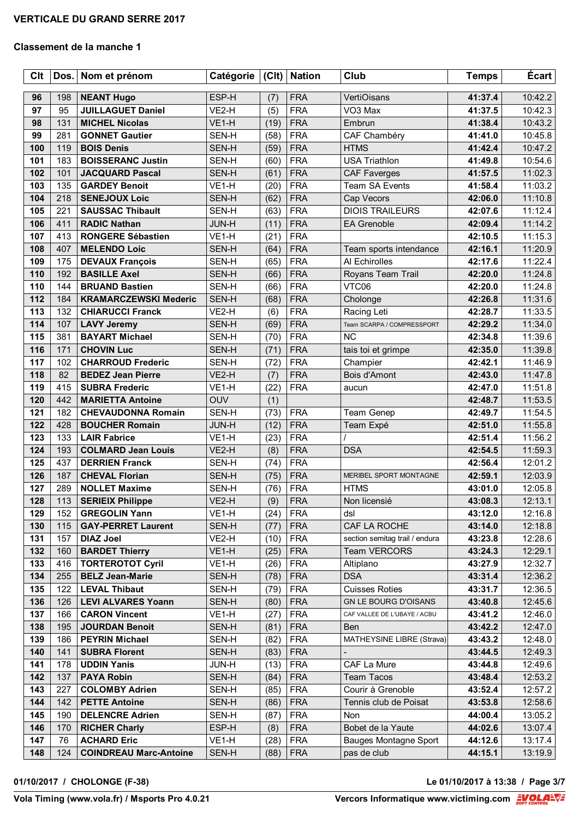| <b>Clt</b> | Dos. | Nom et prénom                 | Catégorie    | C          | <b>Nation</b> | Club                           | <b>Temps</b> | Écart   |
|------------|------|-------------------------------|--------------|------------|---------------|--------------------------------|--------------|---------|
| 96         | 198  | <b>NEANT Hugo</b>             | ESP-H        |            | <b>FRA</b>    | VertiOisans                    | 41:37.4      | 10:42.2 |
| 97         | 95   | <b>JUILLAGUET Daniel</b>      | VE2-H        | (7)<br>(5) | <b>FRA</b>    | VO <sub>3</sub> Max            | 41:37.5      | 10:42.3 |
| 98         | 131  | <b>MICHEL Nicolas</b>         | VE1-H        | (19)       | <b>FRA</b>    | Embrun                         | 41:38.4      | 10:43.2 |
| 99         | 281  | <b>GONNET Gautier</b>         | SEN-H        | (58)       | <b>FRA</b>    | CAF Chambéry                   | 41:41.0      | 10:45.8 |
| 100        | 119  | <b>BOIS Denis</b>             | SEN-H        | (59)       | <b>FRA</b>    | <b>HTMS</b>                    | 41:42.4      | 10:47.2 |
| 101        | 183  | <b>BOISSERANC Justin</b>      | SEN-H        | (60)       | <b>FRA</b>    | <b>USA Triathlon</b>           | 41:49.8      | 10:54.6 |
| 102        | 101  | <b>JACQUARD Pascal</b>        | SEN-H        | (61)       | <b>FRA</b>    | <b>CAF Faverges</b>            | 41:57.5      | 11:02.3 |
| 103        | 135  | <b>GARDEY Benoit</b>          | VE1-H        | (20)       | <b>FRA</b>    | <b>Team SA Events</b>          | 41:58.4      | 11:03.2 |
| 104        | 218  | <b>SENEJOUX Loic</b>          | SEN-H        | (62)       | <b>FRA</b>    | Cap Vecors                     | 42:06.0      | 11:10.8 |
| 105        | 221  | <b>SAUSSAC Thibault</b>       | SEN-H        | (63)       | <b>FRA</b>    | <b>DIOIS TRAILEURS</b>         | 42:07.6      | 11:12.4 |
| 106        | 411  | <b>RADIC Nathan</b>           | <b>JUN-H</b> | (11)       | <b>FRA</b>    | <b>EA Grenoble</b>             | 42:09.4      | 11:14.2 |
| 107        | 413  | <b>RONGERE Sébastien</b>      | VE1-H        | (21)       | <b>FRA</b>    |                                | 42:10.5      | 11:15.3 |
| 108        | 407  | <b>MELENDO Loic</b>           | SEN-H        | (64)       | <b>FRA</b>    | Team sports intendance         | 42:16.1      | 11:20.9 |
| 109        | 175  | <b>DEVAUX François</b>        | SEN-H        | (65)       | <b>FRA</b>    | Al Echirolles                  | 42:17.6      | 11:22.4 |
| 110        | 192  | <b>BASILLE Axel</b>           | SEN-H        | (66)       | <b>FRA</b>    | Royans Team Trail              | 42:20.0      | 11:24.8 |
| 110        | 144  | <b>BRUAND Bastien</b>         | SEN-H        | (66)       | <b>FRA</b>    | VTC06                          | 42:20.0      | 11:24.8 |
| 112        | 184  | <b>KRAMARCZEWSKI Mederic</b>  | SEN-H        | (68)       | <b>FRA</b>    | Cholonge                       | 42:26.8      | 11:31.6 |
| 113        | 132  | <b>CHIARUCCI Franck</b>       | VE2-H        | (6)        | <b>FRA</b>    | Racing Leti                    | 42:28.7      | 11:33.5 |
| 114        | 107  | <b>LAVY Jeremy</b>            | SEN-H        | (69)       | <b>FRA</b>    | Team SCARPA / COMPRESSPORT     | 42:29.2      | 11:34.0 |
| 115        | 381  | <b>BAYART Michael</b>         | SEN-H        | (70)       | <b>FRA</b>    | <b>NC</b>                      | 42:34.8      | 11:39.6 |
| 116        | 171  | <b>CHOVIN Luc</b>             | SEN-H        | (71)       | <b>FRA</b>    | tais toi et grimpe             | 42:35.0      | 11:39.8 |
| 117        | 102  | <b>CHARROUD Frederic</b>      | SEN-H        | (72)       | <b>FRA</b>    | Champier                       | 42:42.1      | 11:46.9 |
| 118        | 82   | <b>BEDEZ Jean Pierre</b>      | VE2-H        | (7)        | <b>FRA</b>    | Bois d'Amont                   | 42:43.0      | 11:47.8 |
| 119        | 415  | <b>SUBRA Frederic</b>         | VE1-H        | (22)       | <b>FRA</b>    | aucun                          | 42:47.0      | 11:51.8 |
| 120        | 442  | <b>MARIETTA Antoine</b>       | OUV          | (1)        |               |                                | 42:48.7      | 11:53.5 |
| 121        | 182  | <b>CHEVAUDONNA Romain</b>     | SEN-H        | (73)       | <b>FRA</b>    | Team Genep                     | 42:49.7      | 11:54.5 |
| 122        | 428  | <b>BOUCHER Romain</b>         | <b>JUN-H</b> | (12)       | <b>FRA</b>    | Team Expé                      | 42:51.0      | 11:55.8 |
| 123        | 133  | <b>LAIR Fabrice</b>           | VE1-H        | (23)       | <b>FRA</b>    |                                | 42:51.4      | 11:56.2 |
| 124        | 193  | <b>COLMARD Jean Louis</b>     | VE2-H        | (8)        | <b>FRA</b>    | <b>DSA</b>                     | 42:54.5      | 11:59.3 |
| 125        | 437  | <b>DERRIEN Franck</b>         | SEN-H        | (74)       | <b>FRA</b>    |                                | 42:56.4      | 12:01.2 |
| 126        | 187  | <b>CHEVAL Florian</b>         | SEN-H        | (75)       | <b>FRA</b>    | MERIBEL SPORT MONTAGNE         | 42:59.1      | 12:03.9 |
| 127        | 289  | <b>NOLLET Maxime</b>          | SEN-H        | (76)       | <b>FRA</b>    | <b>HTMS</b>                    | 43:01.0      | 12:05.8 |
| 128        | 113  | <b>SERIEIX Philippe</b>       | VE2-H        | (9)        | <b>FRA</b>    | Non licensié                   | 43:08.3      | 12:13.1 |
| 129        | 152  | <b>GREGOLIN Yann</b>          | VE1-H        | (24)       | <b>FRA</b>    | dsl                            | 43:12.0      | 12:16.8 |
| 130        | 115  | <b>GAY-PERRET Laurent</b>     | SEN-H        | (77)       | <b>FRA</b>    | CAF LA ROCHE                   | 43:14.0      | 12:18.8 |
| 131        | 157  | <b>DIAZ Joel</b>              | VE2-H        | (10)       | <b>FRA</b>    | section semitag trail / endura | 43:23.8      | 12:28.6 |
| 132        | 160  | <b>BARDET Thierry</b>         | VE1-H        | (25)       | <b>FRA</b>    | Team VERCORS                   | 43:24.3      | 12:29.1 |
| 133        | 416  | <b>TORTEROTOT Cyril</b>       | VE1-H        | (26)       | <b>FRA</b>    | Altiplano                      | 43:27.9      | 12:32.7 |
| 134        | 255  | <b>BELZ Jean-Marie</b>        | SEN-H        | (78)       | <b>FRA</b>    | <b>DSA</b>                     | 43:31.4      | 12:36.2 |
| 135        | 122  | <b>LEVAL Thibaut</b>          | SEN-H        | (79)       | <b>FRA</b>    | <b>Cuisses Roties</b>          | 43:31.7      | 12:36.5 |
| 136        | 126  | <b>LEVI ALVARES Yoann</b>     | SEN-H        | (80)       | <b>FRA</b>    | <b>GN LE BOURG D'OISANS</b>    | 43:40.8      | 12:45.6 |
| 137        | 166  | <b>CARON Vincent</b>          | VE1-H        | (27)       | <b>FRA</b>    | CAF VALLEE DE L'UBAYE / ACBU   | 43:41.2      | 12:46.0 |
| 138        | 195  | <b>JOURDAN Benoit</b>         | SEN-H        | (81)       | <b>FRA</b>    | <b>Ben</b>                     | 43:42.2      | 12:47.0 |
| 139        | 186  | <b>PEYRIN Michael</b>         | SEN-H        | (82)       | <b>FRA</b>    | MATHEYSINE LIBRE (Strava)      | 43:43.2      | 12:48.0 |
| 140        | 141  | <b>SUBRA Florent</b>          | SEN-H        | (83)       | <b>FRA</b>    |                                | 43:44.5      | 12:49.3 |
| 141        | 178  | <b>UDDIN Yanis</b>            | JUN-H        | (13)       | <b>FRA</b>    | CAF La Mure                    | 43:44.8      | 12:49.6 |
| 142        | 137  | <b>PAYA Robin</b>             | SEN-H        | (84)       | <b>FRA</b>    | <b>Team Tacos</b>              | 43:48.4      | 12:53.2 |
| 143        | 227  | <b>COLOMBY Adrien</b>         | SEN-H        | (85)       | <b>FRA</b>    | Courir à Grenoble              | 43:52.4      | 12:57.2 |
| 144        | 142  | <b>PETTE Antoine</b>          | SEN-H        | (86)       | <b>FRA</b>    | Tennis club de Poisat          | 43:53.8      | 12:58.6 |
| 145        | 190  | <b>DELENCRE Adrien</b>        | SEN-H        | (87)       | <b>FRA</b>    | Non                            | 44:00.4      | 13:05.2 |
| 146        | 170  | <b>RICHER Charly</b>          | ESP-H        | (8)        | <b>FRA</b>    | Bobet de la Yaute              | 44:02.6      | 13:07.4 |
| 147        | 76   | <b>ACHARD Eric</b>            | VE1-H        | (28)       | <b>FRA</b>    | <b>Bauges Montagne Sport</b>   | 44:12.6      | 13:17.4 |
| 148        | 124  | <b>COINDREAU Marc-Antoine</b> | SEN-H        | (88)       | <b>FRA</b>    | pas de club                    | 44:15.1      | 13:19.9 |

**01/10/2017 / CHOLONGE (F-38) Le 01/10/2017 à 13:38 / Page 3/7**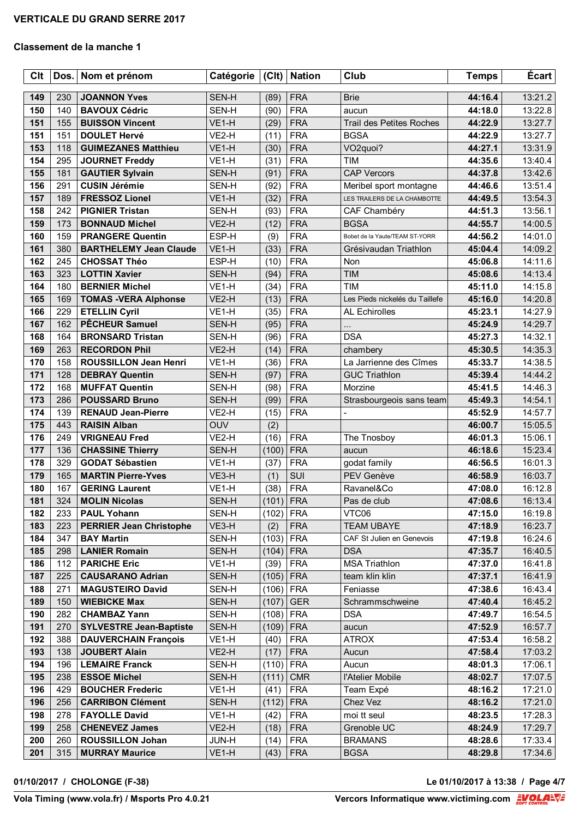| Clt |     | Dos. Nom et prénom             | Catégorie         | C            | <b>Nation</b> | Club                               | <b>Temps</b>       | <b>Écart</b> |
|-----|-----|--------------------------------|-------------------|--------------|---------------|------------------------------------|--------------------|--------------|
| 149 | 230 | <b>JOANNON Yves</b>            | SEN-H             | (89)         | <b>FRA</b>    | <b>Brie</b>                        | 44:16.4            | 13:21.2      |
| 150 | 140 | <b>BAVOUX Cédric</b>           | SEN-H             | (90)         | <b>FRA</b>    | aucun                              | 44:18.0            | 13:22.8      |
| 151 | 155 | <b>BUISSON Vincent</b>         | VE1-H             | (29)         | <b>FRA</b>    | <b>Trail des Petites Roches</b>    | 44:22.9            | 13:27.7      |
| 151 | 151 | <b>DOULET Hervé</b>            | VE2-H             | (11)         | <b>FRA</b>    | <b>BGSA</b>                        | 44:22.9            | 13:27.7      |
| 153 | 118 | <b>GUIMEZANES Matthieu</b>     | VE1-H             | (30)         | <b>FRA</b>    | VO <sub>2quoi</sub> ?              | 44:27.1            | 13:31.9      |
| 154 | 295 | <b>JOURNET Freddy</b>          | VE1-H             | (31)         | <b>FRA</b>    | <b>TIM</b>                         | 44:35.6            | 13:40.4      |
| 155 | 181 | <b>GAUTIER Sylvain</b>         | SEN-H             | (91)         | <b>FRA</b>    | <b>CAP Vercors</b>                 | 44:37.8            | 13:42.6      |
| 156 | 291 | <b>CUSIN Jérémie</b>           | SEN-H             | (92)         | <b>FRA</b>    | Meribel sport montagne             | 44:46.6            | 13:51.4      |
| 157 | 189 | <b>FRESSOZ Lionel</b>          | VE1-H             | (32)         | <b>FRA</b>    | LES TRAILERS DE LA CHAMBOTTE       | 44:49.5            | 13:54.3      |
| 158 | 242 | <b>PIGNIER Tristan</b>         | SEN-H             | (93)         | <b>FRA</b>    | CAF Chambéry                       | 44:51.3            | 13:56.1      |
| 159 | 173 | <b>BONNAUD Michel</b>          | VE2-H             | (12)         | <b>FRA</b>    | <b>BGSA</b>                        | 44:55.7            | 14:00.5      |
| 160 | 159 | <b>PRANGERE Quentin</b>        | ESP-H             | (9)          | <b>FRA</b>    | Bobet de la Yaute/TEAM ST-YORR     | 44:56.2            | 14:01.0      |
| 161 | 380 | <b>BARTHELEMY Jean Claude</b>  | VE1-H             | (33)         | <b>FRA</b>    | Grésivaudan Triathlon              | 45:04.4            | 14:09.2      |
| 162 | 245 | <b>CHOSSAT Théo</b>            | ESP-H             | (10)         | <b>FRA</b>    | Non                                | 45:06.8            | 14:11.6      |
| 163 | 323 | <b>LOTTIN Xavier</b>           | SEN-H             | (94)         | <b>FRA</b>    | <b>TIM</b>                         | 45:08.6            | 14:13.4      |
| 164 | 180 | <b>BERNIER Michel</b>          | VE1-H             | (34)         | <b>FRA</b>    | <b>TIM</b>                         | 45:11.0            | 14:15.8      |
| 165 | 169 | <b>TOMAS -VERA Alphonse</b>    | VE2-H             | (13)         | <b>FRA</b>    | Les Pieds nickelés du Taillefe     | 45:16.0            | 14:20.8      |
| 166 | 229 | <b>ETELLIN Cyril</b>           | VE1-H             | (35)         | <b>FRA</b>    | <b>AL Echirolles</b>               | 45:23.1            | 14:27.9      |
| 167 | 162 | <b>PÊCHEUR Samuel</b>          |                   |              | <b>FRA</b>    |                                    |                    | 14:29.7      |
| 168 | 164 | <b>BRONSARD Tristan</b>        | SEN-H<br>SEN-H    | (95)<br>(96) | <b>FRA</b>    | $\ddotsc$<br><b>DSA</b>            | 45:24.9<br>45:27.3 | 14:32.1      |
| 169 | 263 | <b>RECORDON Phil</b>           | VE2-H             | (14)         | <b>FRA</b>    |                                    | 45:30.5            | 14:35.3      |
| 170 | 158 | <b>ROUSSILLON Jean Henri</b>   | VE1-H             | (36)         | <b>FRA</b>    | chambery<br>La Jarrienne des Cîmes | 45:33.7            | 14:38.5      |
| 171 | 128 | <b>DEBRAY Quentin</b>          | SEN-H             | (97)         | <b>FRA</b>    | <b>GUC Triathlon</b>               | 45:39.4            | 14:44.2      |
| 172 | 168 | <b>MUFFAT Quentin</b>          | SEN-H             | (98)         | <b>FRA</b>    | Morzine                            | 45:41.5            | 14:46.3      |
| 173 | 286 | <b>POUSSARD Bruno</b>          | SEN-H             | (99)         | <b>FRA</b>    |                                    |                    | 14:54.1      |
| 174 | 139 | <b>RENAUD Jean-Pierre</b>      | VE2-H             | (15)         | <b>FRA</b>    | Strasbourgeois sans team           | 45:49.3<br>45:52.9 | 14:57.7      |
| 175 | 443 | <b>RAISIN Alban</b>            | <b>OUV</b>        | (2)          |               |                                    | 46:00.7            | 15:05.5      |
| 176 | 249 | <b>VRIGNEAU Fred</b>           | VE2-H             | (16)         | <b>FRA</b>    | The Tnosboy                        | 46:01.3            | 15:06.1      |
| 177 | 136 | <b>CHASSINE Thierry</b>        | SEN-H             | (100)        | <b>FRA</b>    | aucun                              | 46:18.6            | 15:23.4      |
| 178 | 329 | <b>GODAT Sébastien</b>         | VE <sub>1-H</sub> | (37)         | <b>FRA</b>    | godat family                       | 46:56.5            | 16:01.3      |
| 179 | 165 | <b>MARTIN Pierre-Yves</b>      | VE3-H             | (1)          | SUI           | PEV Genève                         | 46:58.9            | 16:03.7      |
| 180 | 167 | <b>GERING Laurent</b>          | VE1-H             | (38)         | <b>FRA</b>    | Ravanel&Co                         | 47:08.0            | 16:12.8      |
| 181 | 324 | <b>MOLIN Nicolas</b>           | SEN-H             | $(101)$ FRA  |               | Pas de club                        | 47:08.6            | 16:13.4      |
| 182 | 233 | <b>PAUL Yohann</b>             | SEN-H             | (102)        | <b>FRA</b>    | VTC06                              | 47:15.0            | 16:19.8      |
| 183 | 223 | <b>PERRIER Jean Christophe</b> | VE3-H             | (2)          | <b>FRA</b>    | <b>TEAM UBAYE</b>                  | 47:18.9            | 16:23.7      |
| 184 | 347 | <b>BAY Martin</b>              | SEN-H             | (103)        | <b>FRA</b>    | CAF St Julien en Genevois          | 47:19.8            | 16:24.6      |
| 185 | 298 | <b>LANIER Romain</b>           | SEN-H             | (104)        | <b>FRA</b>    | <b>DSA</b>                         | 47:35.7            | 16:40.5      |
| 186 | 112 | <b>PARICHE Eric</b>            | VE1-H             | (39)         | <b>FRA</b>    | <b>MSA Triathlon</b>               | 47:37.0            | 16:41.8      |
| 187 | 225 | <b>CAUSARANO Adrian</b>        | SEN-H             | (105)        | <b>FRA</b>    | team klin klin                     | 47:37.1            | 16:41.9      |
| 188 | 271 | <b>MAGUSTEIRO David</b>        | SEN-H             | (106)        | <b>FRA</b>    | Feniasse                           | 47:38.6            | 16:43.4      |
| 189 | 150 | <b>WIEBICKE Max</b>            | SEN-H             | (107)        | <b>GER</b>    | Schrammschweine                    | 47:40.4            | 16:45.2      |
| 190 | 282 | <b>CHAMBAZ Yann</b>            | SEN-H             | (108)        | <b>FRA</b>    | <b>DSA</b>                         | 47:49.7            | 16:54.5      |
| 191 | 270 | <b>SYLVESTRE Jean-Baptiste</b> | SEN-H             | (109)        | <b>FRA</b>    | aucun                              | 47:52.9            | 16:57.7      |
| 192 | 388 | <b>DAUVERCHAIN François</b>    | VE1-H             | (40)         | <b>FRA</b>    | <b>ATROX</b>                       | 47:53.4            | 16:58.2      |
| 193 | 138 | <b>JOUBERT Alain</b>           | VE2-H             | (17)         | <b>FRA</b>    | Aucun                              | 47:58.4            | 17:03.2      |
| 194 | 196 | <b>LEMAIRE Franck</b>          | SEN-H             | (110)        | <b>FRA</b>    | Aucun                              | 48:01.3            | 17:06.1      |
| 195 | 238 | <b>ESSOE Michel</b>            | SEN-H             | (111)        | <b>CMR</b>    | l'Atelier Mobile                   | 48:02.7            | 17:07.5      |
| 196 | 429 | <b>BOUCHER Frederic</b>        | VE1-H             | (41)         | <b>FRA</b>    | Team Expé                          | 48:16.2            | 17:21.0      |
| 196 | 256 | <b>CARRIBON Clément</b>        | SEN-H             | (112)        | <b>FRA</b>    | Chez Vez                           | 48:16.2            | 17:21.0      |
| 198 | 278 | <b>FAYOLLE David</b>           | VE1-H             | (42)         | <b>FRA</b>    | moi tt seul                        | 48:23.5            | 17:28.3      |
| 199 | 258 | <b>CHENEVEZ James</b>          | VE2-H             | (18)         | <b>FRA</b>    | Grenoble UC                        | 48:24.9            | 17:29.7      |
| 200 | 260 | <b>ROUSSILLON Johan</b>        | JUN-H             | (14)         | <b>FRA</b>    | <b>BRAMANS</b>                     | 48:28.6            | 17:33.4      |
| 201 | 315 | <b>MURRAY Maurice</b>          | VE1-H             | (43)         | <b>FRA</b>    | <b>BGSA</b>                        | 48:29.8            | 17:34.6      |
|     |     |                                |                   |              |               |                                    |                    |              |

**01/10/2017 / CHOLONGE (F-38) Le 01/10/2017 à 13:38 / Page 4/7**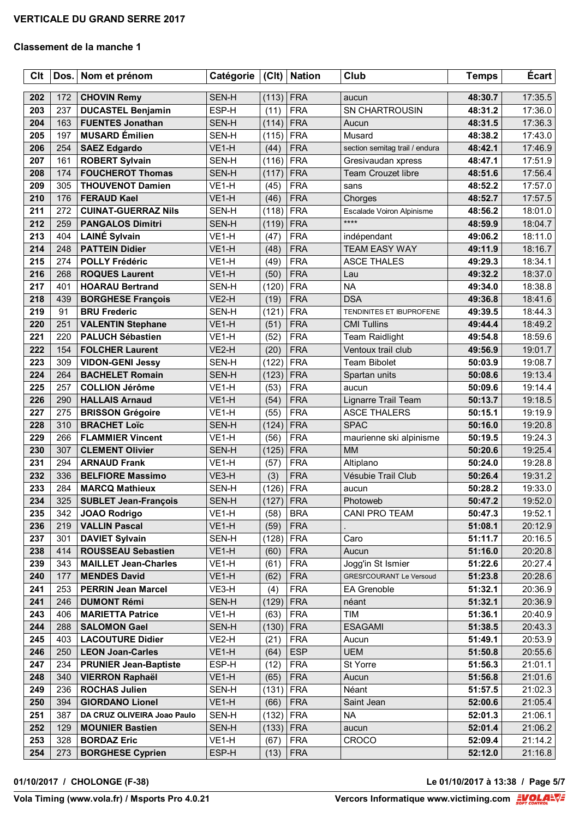| <b>Clt</b> | Dos. | Nom et prénom                | Catégorie         | (Clt)       | <b>Nation</b> | Club                            | <b>Temps</b> | <b>Écart</b> |
|------------|------|------------------------------|-------------------|-------------|---------------|---------------------------------|--------------|--------------|
| 202        | 172  | <b>CHOVIN Remy</b>           | SEN-H             | (113)       | <b>FRA</b>    |                                 | 48:30.7      | 17:35.5      |
| 203        | 237  | <b>DUCASTEL Benjamin</b>     | ESP-H             | (11)        | <b>FRA</b>    | aucun<br><b>SN CHARTROUSIN</b>  | 48:31.2      | 17:36.0      |
| 204        | 163  | <b>FUENTES Jonathan</b>      | SEN-H             | (114)       | <b>FRA</b>    | Aucun                           | 48:31.5      | 17:36.3      |
| 205        | 197  | <b>MUSARD</b> Émilien        | SEN-H             | (115)       | <b>FRA</b>    | Musard                          | 48:38.2      | 17:43.0      |
| 206        | 254  | <b>SAEZ Edgardo</b>          | VE1-H             | (44)        | <b>FRA</b>    | section semitag trail / endura  | 48:42.1      | 17:46.9      |
| 207        | 161  | <b>ROBERT Sylvain</b>        | SEN-H             | (116)       | <b>FRA</b>    | Gresivaudan xpress              | 48:47.1      | 17:51.9      |
| 208        | 174  | <b>FOUCHEROT Thomas</b>      | SEN-H             | (117)       | <b>FRA</b>    | <b>Team Crouzet libre</b>       | 48:51.6      | 17:56.4      |
| 209        | 305  | <b>THOUVENOT Damien</b>      | VE1-H             | (45)        | <b>FRA</b>    | sans                            | 48:52.2      | 17:57.0      |
| 210        | 176  | <b>FERAUD Kael</b>           | VE1-H             | (46)        | <b>FRA</b>    | Chorges                         | 48:52.7      | 17:57.5      |
| 211        | 272  | <b>CUINAT-GUERRAZ Nils</b>   | SEN-H             | (118)       | <b>FRA</b>    | Escalade Voiron Alpinisme       | 48:56.2      | 18:01.0      |
| 212        | 259  | <b>PANGALOS Dimitri</b>      | SEN-H             | (119)       | <b>FRA</b>    | ****                            | 48:59.9      | 18:04.7      |
| 213        | 404  | <b>LAINÉ Sylvain</b>         | VE1-H             | (47)        | <b>FRA</b>    | indépendant                     | 49:06.2      | 18:11.0      |
| 214        | 248  | <b>PATTEIN Didier</b>        | VE1-H             | (48)        | <b>FRA</b>    | <b>TEAM EASY WAY</b>            | 49:11.9      | 18:16.7      |
| 215        | 274  | <b>POLLY Frédéric</b>        | VE1-H             | (49)        | <b>FRA</b>    | <b>ASCE THALES</b>              | 49:29.3      | 18:34.1      |
| 216        | 268  | <b>ROQUES Laurent</b>        | VE1-H             | (50)        | <b>FRA</b>    | Lau                             | 49:32.2      | 18:37.0      |
| 217        | 401  | <b>HOARAU Bertrand</b>       | SEN-H             | (120)       | <b>FRA</b>    | <b>NA</b>                       | 49:34.0      | 18:38.8      |
| 218        | 439  | <b>BORGHESE François</b>     | VE2-H             | (19)        | <b>FRA</b>    | <b>DSA</b>                      | 49:36.8      | 18:41.6      |
| 219        | 91   | <b>BRU Frederic</b>          | SEN-H             | (121)       | <b>FRA</b>    | TENDINITES ET IBUPROFENE        | 49:39.5      | 18:44.3      |
| 220        | 251  | <b>VALENTIN Stephane</b>     | VE1-H             | (51)        | <b>FRA</b>    | <b>CMI Tullins</b>              | 49:44.4      | 18:49.2      |
| 221        | 220  | <b>PALUCH Sébastien</b>      | VE1-H             | (52)        | <b>FRA</b>    | <b>Team Raidlight</b>           | 49:54.8      | 18:59.6      |
| 222        | 154  | <b>FOLCHER Laurent</b>       | VE2-H             | (20)        | <b>FRA</b>    | Ventoux trail club              | 49:56.9      | 19:01.7      |
| 223        | 309  | <b>VIDON-GENI Jessy</b>      | SEN-H             | (122)       | <b>FRA</b>    | Team Bibolet                    | 50:03.9      | 19:08.7      |
| 224        | 264  | <b>BACHELET Romain</b>       | SEN-H             | (123)       | <b>FRA</b>    | Spartan units                   | 50:08.6      | 19:13.4      |
| 225        | 257  | <b>COLLION Jérôme</b>        | VE1-H             | (53)        | <b>FRA</b>    | aucun                           | 50:09.6      | 19:14.4      |
| 226        | 290  | <b>HALLAIS Arnaud</b>        | VE1-H             | (54)        | <b>FRA</b>    | Lignarre Trail Team             | 50:13.7      | 19:18.5      |
| 227        | 275  | <b>BRISSON Grégoire</b>      | VE1-H             | (55)        | <b>FRA</b>    | <b>ASCE THALERS</b>             | 50:15.1      | 19:19.9      |
| 228        | 310  | <b>BRACHET Loïc</b>          | SEN-H             | (124)       | <b>FRA</b>    | <b>SPAC</b>                     | 50:16.0      | 19:20.8      |
| 229        | 266  | <b>FLAMMIER Vincent</b>      | VE1-H             | (56)        | <b>FRA</b>    | maurienne ski alpinisme         | 50:19.5      | 19:24.3      |
| 230        | 307  | <b>CLEMENT Olivier</b>       | SEN-H             | (125)       | <b>FRA</b>    | <b>MM</b>                       | 50:20.6      | 19:25.4      |
| 231        | 294  | <b>ARNAUD Frank</b>          | VE1-H             | (57)        | <b>FRA</b>    | Altiplano                       | 50:24.0      | 19:28.8      |
| 232        | 336  | <b>BELFIORE Massimo</b>      | VE3-H             | (3)         | <b>FRA</b>    | Vésubie Trail Club              | 50:26.4      | 19:31.2      |
| 233        | 284  | <b>MARCQ Mathieux</b>        | SEN-H             | (126)       | <b>FRA</b>    | aucun                           | 50:28.2      | 19:33.0      |
| 234        | 325  | <b>SUBLET Jean-François</b>  | SEN-H             | $(127)$ FRA |               | Photoweb                        | 50:47.2      | 19:52.0      |
| 235        | 342  | <b>JOAO Rodrigo</b>          | VE1-H             | (58)        | <b>BRA</b>    | CANI PRO TEAM                   | 50:47.3      | 19:52.1      |
| 236        | 219  | <b>VALLIN Pascal</b>         | VE <sub>1-H</sub> | (59)        | <b>FRA</b>    |                                 | 51:08.1      | 20:12.9      |
| 237        | 301  | <b>DAVIET Sylvain</b>        | SEN-H             | (128)       | <b>FRA</b>    | Caro                            | 51:11.7      | 20:16.5      |
| 238        | 414  | <b>ROUSSEAU Sebastien</b>    | VE1-H             | (60)        | <b>FRA</b>    | Aucun                           | 51:16.0      | 20:20.8      |
| 239        | 343  | <b>MAILLET Jean-Charles</b>  | VE1-H             | (61)        | <b>FRA</b>    | Jogg'in St Ismier               | 51:22.6      | 20:27.4      |
| 240        | 177  | <b>MENDES David</b>          | VE1-H             | (62)        | <b>FRA</b>    | <b>GRESI'COURANT Le Versoud</b> | 51:23.8      | 20:28.6      |
| 241        | 253  | <b>PERRIN Jean Marcel</b>    | VE3-H             | (4)         | <b>FRA</b>    | EA Grenoble                     | 51:32.1      | 20:36.9      |
| 241        | 246  | <b>DUMONT Rémi</b>           | SEN-H             | (129)       | <b>FRA</b>    | néant                           | 51:32.1      | 20:36.9      |
| 243        | 406  | <b>MARIETTA Patrice</b>      | VE1-H             | (63)        | <b>FRA</b>    | TIM                             | 51:36.1      | 20:40.9      |
| 244        | 288  | <b>SALOMON Gael</b>          | SEN-H             | (130)       | <b>FRA</b>    | <b>ESAGAMI</b>                  | 51:38.5      | 20:43.3      |
| 245        | 403  | <b>LACOUTURE Didier</b>      | VE2-H             | (21)        | <b>FRA</b>    | Aucun                           | 51:49.1      | 20:53.9      |
| 246        | 250  | <b>LEON Joan-Carles</b>      | VE1-H             | (64)        | <b>ESP</b>    | <b>UEM</b>                      | 51:50.8      | 20:55.6      |
| 247        | 234  | <b>PRUNIER Jean-Baptiste</b> | ESP-H             | (12)        | <b>FRA</b>    | St Yorre                        | 51:56.3      | 21:01.1      |
| 248        | 340  | <b>VIERRON Raphaël</b>       | VE1-H             | (65)        | <b>FRA</b>    | Aucun                           | 51:56.8      | 21:01.6      |
| 249        | 236  | <b>ROCHAS Julien</b>         | SEN-H             | (131)       | <b>FRA</b>    | Néant                           | 51:57.5      | 21:02.3      |
| 250        | 394  | <b>GIORDANO Lionel</b>       | VE1-H             | (66)        | <b>FRA</b>    | Saint Jean                      | 52:00.6      | 21:05.4      |
| 251        | 387  | DA CRUZ OLIVEIRA Joao Paulo  | SEN-H             | (132)       | <b>FRA</b>    | <b>NA</b>                       | 52:01.3      | 21:06.1      |
| 252        | 129  | <b>MOUNIER Bastien</b>       | SEN-H             | (133)       | <b>FRA</b>    | aucun                           | 52:01.4      | 21:06.2      |
| 253        | 328  | <b>BORDAZ Eric</b>           | VE1-H             | (67)        | <b>FRA</b>    | <b>CROCO</b>                    | 52:09.4      | 21:14.2      |
| 254        | 273  | <b>BORGHESE Cyprien</b>      | ESP-H             | (13)        | <b>FRA</b>    |                                 | 52:12.0      | 21:16.8      |

**01/10/2017 / CHOLONGE (F-38) Le 01/10/2017 à 13:38 / Page 5/7**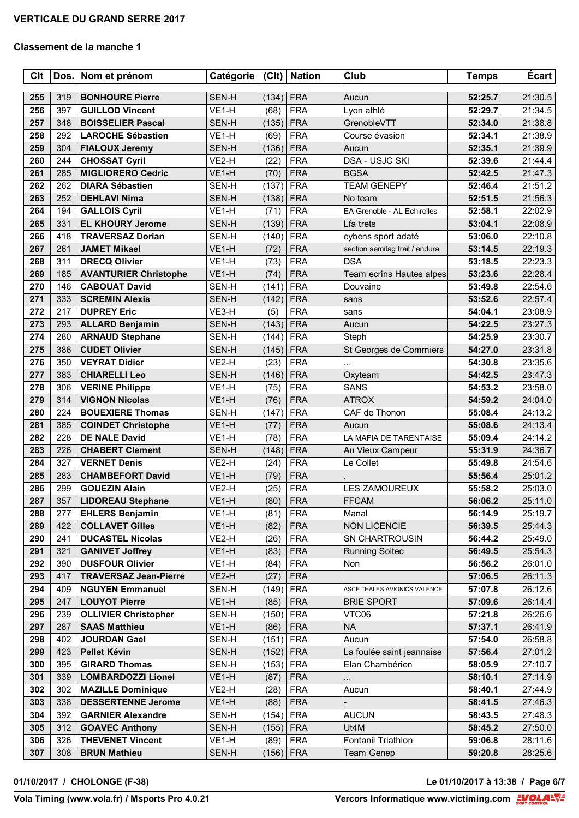| <b>Clt</b> | Dos.       | Nom et prénom                                       | Catégorie      | C              | <b>Nation</b>            | Club                                         | <b>Temps</b>       | <b>Écart</b>       |
|------------|------------|-----------------------------------------------------|----------------|----------------|--------------------------|----------------------------------------------|--------------------|--------------------|
| 255        | 319        | <b>BONHOURE Pierre</b>                              | SEN-H          | (134)          | <b>FRA</b>               | Aucun                                        | 52:25.7            | 21:30.5            |
| 256        | 397        | <b>GUILLOD Vincent</b>                              | VE1-H          | (68)           | <b>FRA</b>               | Lyon athlé                                   | 52:29.7            | 21:34.5            |
| 257        | 348        | <b>BOISSELIER Pascal</b>                            | SEN-H          | (135)          | <b>FRA</b>               | GrenobleVTT                                  | 52:34.0            | 21:38.8            |
| 258        | 292        | <b>LAROCHE Sébastien</b>                            | VE1-H          | (69)           | <b>FRA</b>               | Course évasion                               | 52:34.1            | 21:38.9            |
| 259        | 304        | <b>FIALOUX Jeremy</b>                               | SEN-H          | (136)          | <b>FRA</b>               | Aucun                                        | 52:35.1            | 21:39.9            |
| 260        | 244        | <b>CHOSSAT Cyril</b>                                | VE2-H          | (22)           | <b>FRA</b>               | <b>DSA - USJC SKI</b>                        | 52:39.6            | 21:44.4            |
| 261        | 285        | <b>MIGLIORERO Cedric</b>                            | VE1-H          | (70)           | <b>FRA</b>               | <b>BGSA</b>                                  | 52:42.5            | 21:47.3            |
| 262        | 262        | <b>DIARA Sébastien</b>                              | SEN-H          | (137)          | <b>FRA</b>               | <b>TEAM GENEPY</b>                           | 52:46.4            | 21:51.2            |
| 263        | 252        | <b>DEHLAVI Nima</b>                                 | SEN-H          | (138)          | <b>FRA</b>               | No team                                      | 52:51.5            | 21:56.3            |
| 264        | 194        | <b>GALLOIS Cyril</b>                                | VE1-H          | (71)           | <b>FRA</b>               | EA Grenoble - AL Echirolles                  | 52:58.1            | 22:02.9            |
| 265        | 331        | <b>EL KHOURY Jerome</b>                             | SEN-H          | (139)          | <b>FRA</b>               | Lfa trets                                    | 53:04.1            | 22:08.9            |
| 266        | 418        | <b>TRAVERSAZ Dorian</b>                             | SEN-H          | (140)          | <b>FRA</b>               | eybens sport adaté                           | 53:06.0            | 22:10.8            |
| 267        | 261        | <b>JAMET Mikael</b>                                 | VE1-H          | (72)           | <b>FRA</b>               | section semitag trail / endura               | 53:14.5            | 22:19.3            |
| 268        | 311        | <b>DRECQ Olivier</b>                                | VE1-H          | (73)           | <b>FRA</b>               | <b>DSA</b>                                   | 53:18.5            | 22:23.3            |
| 269        | 185        | <b>AVANTURIER Christophe</b>                        | VE1-H          | (74)           | <b>FRA</b>               | Team ecrins Hautes alpes                     | 53:23.6            | 22:28.4            |
| 270        | 146        | <b>CABOUAT David</b>                                | SEN-H          | (141)          | <b>FRA</b>               | Douvaine                                     | 53:49.8            | 22:54.6            |
| 271        | 333        | <b>SCREMIN Alexis</b>                               | SEN-H          | (142)          | <b>FRA</b>               | sans                                         | 53:52.6            | 22:57.4            |
| 272        | 217        | <b>DUPREY Eric</b>                                  | VE3-H          | (5)            | <b>FRA</b>               | sans                                         | 54:04.1            | 23:08.9            |
| 273        | 293        | <b>ALLARD Benjamin</b>                              | SEN-H          | (143)          | <b>FRA</b>               | Aucun                                        | 54:22.5            | 23:27.3            |
| 274        | 280        | <b>ARNAUD Stephane</b>                              | SEN-H          | (144)          | <b>FRA</b>               | Steph                                        | 54:25.9            | 23:30.7            |
| 275        | 386        | <b>CUDET Olivier</b>                                | SEN-H          | (145)          | <b>FRA</b>               | St Georges de Commiers                       | 54:27.0            | 23:31.8            |
| 276        | 350        | <b>VEYRAT Didier</b>                                | VE2-H          | (23)           | <b>FRA</b>               |                                              | 54:30.8            | 23:35.6            |
| 277        | 383        | <b>CHIARELLI Leo</b>                                | SEN-H          | (146)          | <b>FRA</b>               | Oxyteam                                      | 54:42.5            | 23:47.3            |
| 278        | 306        | <b>VERINE Philippe</b>                              | VE1-H          | (75)           | <b>FRA</b>               | <b>SANS</b>                                  | 54:53.2            | 23:58.0            |
| 279        | 314        | <b>VIGNON Nicolas</b>                               | VE1-H          | (76)           | <b>FRA</b>               | <b>ATROX</b>                                 | 54:59.2            | 24:04.0            |
| 280        | 224        | <b>BOUEXIERE Thomas</b>                             | SEN-H          | (147)          | <b>FRA</b>               | CAF de Thonon                                | 55:08.4            | 24:13.2            |
| 281        | 385        | <b>COINDET Christophe</b>                           | VE1-H          | (77)           | <b>FRA</b>               | Aucun                                        | 55:08.6            | 24:13.4            |
| 282        | 228        | <b>DE NALE David</b>                                | VE1-H          | (78)           | <b>FRA</b>               | LA MAFIA DE TARENTAISE                       | 55:09.4            | 24:14.2            |
| 283        | 226        | <b>CHABERT Clement</b>                              | SEN-H          | (148)          | <b>FRA</b>               | Au Vieux Campeur                             | 55:31.9            | 24:36.7            |
| 284        | 327        | <b>VERNET Denis</b>                                 | VE2-H          | (24)           | <b>FRA</b>               | Le Collet                                    | 55:49.8            | 24:54.6            |
| 285        | 283        | <b>CHAMBEFORT David</b>                             | VE1-H          | (79)           | <b>FRA</b>               |                                              | 55:56.4            | 25:01.2            |
| 286        | 299        | <b>GOUEZIN Alain</b>                                | VE2-H          | (25)           | <b>FRA</b>               | <b>LES ZAMOUREUX</b>                         | 55:58.2            | 25:03.0            |
| 287        | 357        | <b>LIDOREAU Stephane</b>                            | VE1-H          | (80)           | <b>FRA</b>               | <b>FFCAM</b>                                 | 56:06.2            | 25:11.0            |
| 288        | 277        | <b>EHLERS Benjamin</b>                              | VE1-H          | (81)           | <b>FRA</b>               | Manal                                        | 56:14.9            | 25:19.7            |
| 289        | 422        | <b>COLLAVET Gilles</b>                              | VE1-H          | (82)           | <b>FRA</b>               | <b>NON LICENCIE</b>                          | 56:39.5            | 25:44.3            |
| 290        | 241        | <b>DUCASTEL Nicolas</b>                             | VE2-H          | (26)           | <b>FRA</b>               | <b>SN CHARTROUSIN</b>                        | 56:44.2            | 25:49.0            |
| 291        | 321        | <b>GANIVET Joffrey</b>                              | VE1-H          | (83)           | <b>FRA</b>               | <b>Running Soitec</b>                        | 56:49.5            | 25:54.3            |
| 292        | 390        | <b>DUSFOUR Olivier</b>                              | VE1-H          | (84)           | <b>FRA</b>               | Non                                          | 56:56.2            | 26:01.0            |
| 293        | 417        | <b>TRAVERSAZ Jean-Pierre</b>                        | VE2-H          | (27)           | <b>FRA</b>               |                                              | 57:06.5            | 26:11.3            |
| 294        | 409        | <b>NGUYEN Emmanuel</b>                              | SEN-H          | (149)          | <b>FRA</b>               | ASCE THALES AVIONICS VALENCE                 | 57:07.8            | 26:12.6            |
| 295<br>296 | 247<br>239 | <b>LOUYOT Pierre</b>                                | VE1-H<br>SEN-H | (85)           | <b>FRA</b><br><b>FRA</b> | <b>BRIE SPORT</b><br>VTC06                   | 57:09.6            | 26:14.4<br>26:26.6 |
| 297        | 287        | <b>OLLIVIER Christopher</b><br><b>SAAS Matthieu</b> | VE1-H          | (150)<br>(86)  | <b>FRA</b>               | <b>NA</b>                                    | 57:21.8<br>57:37.1 | 26:41.9            |
| 298        | 402        | <b>JOURDAN Gael</b>                                 |                | (151)          | <b>FRA</b>               |                                              | 57:54.0            | 26:58.8            |
| 299        | 423        | Pellet Kévin                                        | SEN-H          |                | <b>FRA</b>               | Aucun                                        |                    |                    |
| 300        | 395        | <b>GIRARD Thomas</b>                                | SEN-H<br>SEN-H | (152)<br>(153) | <b>FRA</b>               | La foulée saint jeannaise<br>Elan Chambérien | 57:56.4<br>58:05.9 | 27:01.2<br>27:10.7 |
| 301        | 339        | <b>LOMBARDOZZI Lionel</b>                           | VE1-H          | (87)           | <b>FRA</b>               |                                              | 58:10.1            | 27:14.9            |
| 302        | 302        | <b>MAZILLE Dominique</b>                            | VE2-H          | (28)           | <b>FRA</b>               | $\cdots$<br>Aucun                            | 58:40.1            | 27:44.9            |
| 303        | 338        | <b>DESSERTENNE Jerome</b>                           | VE1-H          | (88)           | <b>FRA</b>               |                                              | 58:41.5            | 27:46.3            |
| 304        | 392        | <b>GARNIER Alexandre</b>                            | SEN-H          | (154)          | <b>FRA</b>               | <b>AUCUN</b>                                 | 58:43.5            | 27:48.3            |
| 305        | 312        | <b>GOAVEC Anthony</b>                               | SEN-H          | (155)          | <b>FRA</b>               | Ut4M                                         | 58:45.2            | 27:50.0            |
| 306        | 326        | <b>THEVENET Vincent</b>                             | VE1-H          | (89)           | <b>FRA</b>               | Fontanil Triathlon                           | 59:06.8            | 28:11.6            |
| 307        | 308        | <b>BRUN Mathieu</b>                                 | SEN-H          | $(156)$ FRA    |                          | Team Genep                                   | 59:20.8            | 28:25.6            |
|            |            |                                                     |                |                |                          |                                              |                    |                    |

**01/10/2017 / CHOLONGE (F-38) Le 01/10/2017 à 13:38 / Page 6/7**